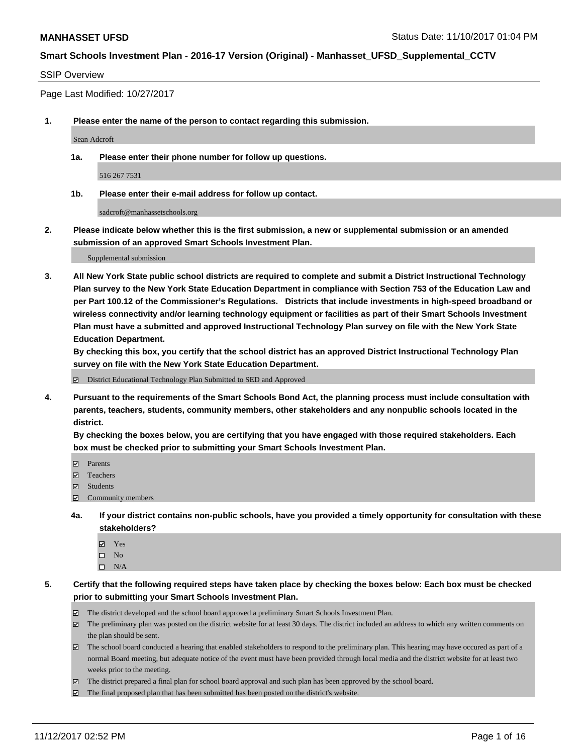#### SSIP Overview

Page Last Modified: 10/27/2017

**1. Please enter the name of the person to contact regarding this submission.**

Sean Adcroft

**1a. Please enter their phone number for follow up questions.**

516 267 7531

**1b. Please enter their e-mail address for follow up contact.**

sadcroft@manhassetschools.org

**2. Please indicate below whether this is the first submission, a new or supplemental submission or an amended submission of an approved Smart Schools Investment Plan.**

Supplemental submission

**3. All New York State public school districts are required to complete and submit a District Instructional Technology Plan survey to the New York State Education Department in compliance with Section 753 of the Education Law and per Part 100.12 of the Commissioner's Regulations. Districts that include investments in high-speed broadband or wireless connectivity and/or learning technology equipment or facilities as part of their Smart Schools Investment Plan must have a submitted and approved Instructional Technology Plan survey on file with the New York State Education Department.** 

**By checking this box, you certify that the school district has an approved District Instructional Technology Plan survey on file with the New York State Education Department.**

District Educational Technology Plan Submitted to SED and Approved

**4. Pursuant to the requirements of the Smart Schools Bond Act, the planning process must include consultation with parents, teachers, students, community members, other stakeholders and any nonpublic schools located in the district.** 

**By checking the boxes below, you are certifying that you have engaged with those required stakeholders. Each box must be checked prior to submitting your Smart Schools Investment Plan.**

- **Parents**
- Teachers
- Students
- Community members
- **4a. If your district contains non-public schools, have you provided a timely opportunity for consultation with these stakeholders?**
	- **Ø** Yes
	- $\square$  No
	- $\square$  N/A

**5. Certify that the following required steps have taken place by checking the boxes below: Each box must be checked prior to submitting your Smart Schools Investment Plan.**

- The district developed and the school board approved a preliminary Smart Schools Investment Plan.
- The preliminary plan was posted on the district website for at least 30 days. The district included an address to which any written comments on the plan should be sent.
- The school board conducted a hearing that enabled stakeholders to respond to the preliminary plan. This hearing may have occured as part of a normal Board meeting, but adequate notice of the event must have been provided through local media and the district website for at least two weeks prior to the meeting.
- The district prepared a final plan for school board approval and such plan has been approved by the school board.
- $\boxtimes$  The final proposed plan that has been submitted has been posted on the district's website.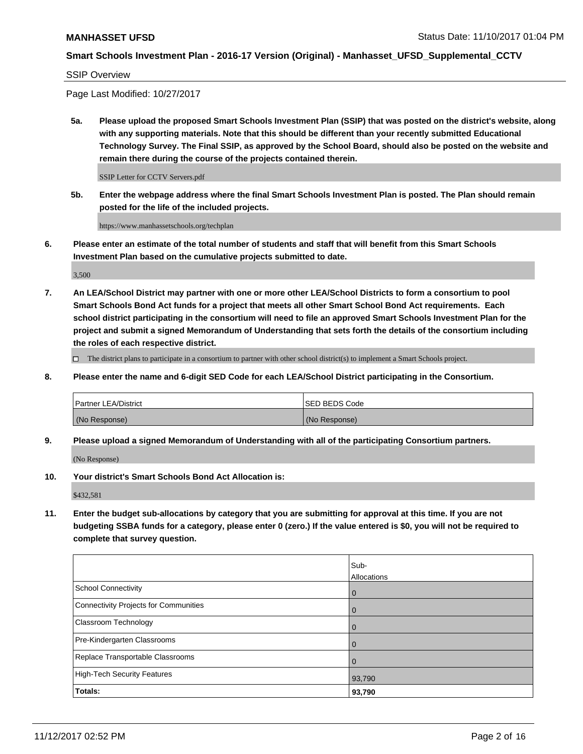SSIP Overview

Page Last Modified: 10/27/2017

**5a. Please upload the proposed Smart Schools Investment Plan (SSIP) that was posted on the district's website, along with any supporting materials. Note that this should be different than your recently submitted Educational Technology Survey. The Final SSIP, as approved by the School Board, should also be posted on the website and remain there during the course of the projects contained therein.**

SSIP Letter for CCTV Servers.pdf

**5b. Enter the webpage address where the final Smart Schools Investment Plan is posted. The Plan should remain posted for the life of the included projects.**

https://www.manhassetschools.org/techplan

**6. Please enter an estimate of the total number of students and staff that will benefit from this Smart Schools Investment Plan based on the cumulative projects submitted to date.**

3,500

**7. An LEA/School District may partner with one or more other LEA/School Districts to form a consortium to pool Smart Schools Bond Act funds for a project that meets all other Smart School Bond Act requirements. Each school district participating in the consortium will need to file an approved Smart Schools Investment Plan for the project and submit a signed Memorandum of Understanding that sets forth the details of the consortium including the roles of each respective district.**

 $\Box$  The district plans to participate in a consortium to partner with other school district(s) to implement a Smart Schools project.

**8. Please enter the name and 6-digit SED Code for each LEA/School District participating in the Consortium.**

| <b>Partner LEA/District</b> | <b>ISED BEDS Code</b> |
|-----------------------------|-----------------------|
| (No Response)               | (No Response)         |

**9. Please upload a signed Memorandum of Understanding with all of the participating Consortium partners.**

(No Response)

**10. Your district's Smart Schools Bond Act Allocation is:**

\$432,581

**11. Enter the budget sub-allocations by category that you are submitting for approval at this time. If you are not budgeting SSBA funds for a category, please enter 0 (zero.) If the value entered is \$0, you will not be required to complete that survey question.**

|                                              | Sub-        |
|----------------------------------------------|-------------|
|                                              | Allocations |
| <b>School Connectivity</b>                   | 0           |
| <b>Connectivity Projects for Communities</b> | 0           |
| <b>Classroom Technology</b>                  | 0           |
| Pre-Kindergarten Classrooms                  | 0           |
| Replace Transportable Classrooms             | 0           |
| <b>High-Tech Security Features</b>           | 93,790      |
| Totals:                                      | 93,790      |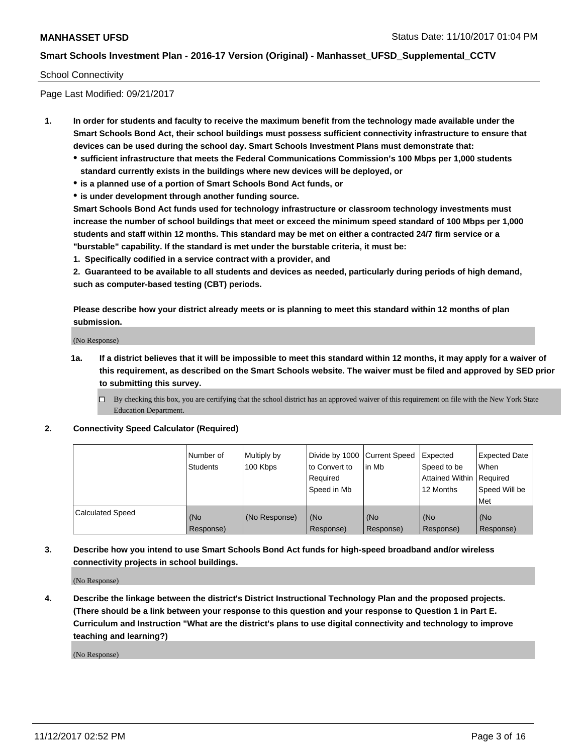#### School Connectivity

Page Last Modified: 09/21/2017

- **1. In order for students and faculty to receive the maximum benefit from the technology made available under the Smart Schools Bond Act, their school buildings must possess sufficient connectivity infrastructure to ensure that devices can be used during the school day. Smart Schools Investment Plans must demonstrate that:**
	- **sufficient infrastructure that meets the Federal Communications Commission's 100 Mbps per 1,000 students standard currently exists in the buildings where new devices will be deployed, or**
	- **is a planned use of a portion of Smart Schools Bond Act funds, or**
	- **is under development through another funding source.**

**Smart Schools Bond Act funds used for technology infrastructure or classroom technology investments must increase the number of school buildings that meet or exceed the minimum speed standard of 100 Mbps per 1,000 students and staff within 12 months. This standard may be met on either a contracted 24/7 firm service or a "burstable" capability. If the standard is met under the burstable criteria, it must be:**

**1. Specifically codified in a service contract with a provider, and**

**2. Guaranteed to be available to all students and devices as needed, particularly during periods of high demand, such as computer-based testing (CBT) periods.**

**Please describe how your district already meets or is planning to meet this standard within 12 months of plan submission.**

(No Response)

**1a. If a district believes that it will be impossible to meet this standard within 12 months, it may apply for a waiver of this requirement, as described on the Smart Schools website. The waiver must be filed and approved by SED prior to submitting this survey.**

**2. Connectivity Speed Calculator (Required)**

|                         | Number of<br><b>Students</b> | Multiply by<br>100 Kbps | Divide by 1000   Current Speed<br>to Convert to<br>Required<br>Speed in Mb | lin Mb           | Expected<br>Speed to be<br>Attained Within   Required<br>12 Months | <b>Expected Date</b><br>When<br>Speed Will be<br>Met |
|-------------------------|------------------------------|-------------------------|----------------------------------------------------------------------------|------------------|--------------------------------------------------------------------|------------------------------------------------------|
| <b>Calculated Speed</b> | (No<br>Response)             | (No Response)           | (No<br>Response)                                                           | (No<br>Response) | (No<br>Response)                                                   | (No<br>Response)                                     |

**3. Describe how you intend to use Smart Schools Bond Act funds for high-speed broadband and/or wireless connectivity projects in school buildings.**

(No Response)

**4. Describe the linkage between the district's District Instructional Technology Plan and the proposed projects. (There should be a link between your response to this question and your response to Question 1 in Part E. Curriculum and Instruction "What are the district's plans to use digital connectivity and technology to improve teaching and learning?)**

(No Response)

 $\Box$  By checking this box, you are certifying that the school district has an approved waiver of this requirement on file with the New York State Education Department.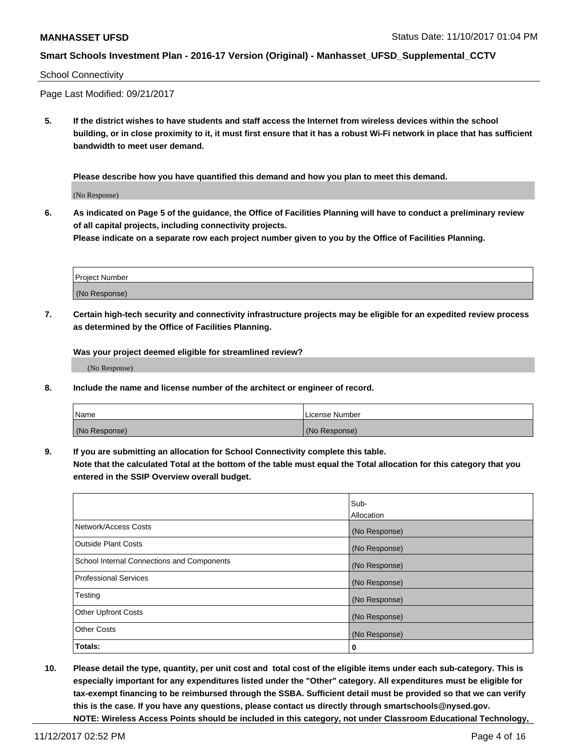#### School Connectivity

Page Last Modified: 09/21/2017

**5. If the district wishes to have students and staff access the Internet from wireless devices within the school building, or in close proximity to it, it must first ensure that it has a robust Wi-Fi network in place that has sufficient bandwidth to meet user demand.**

**Please describe how you have quantified this demand and how you plan to meet this demand.**

(No Response)

**6. As indicated on Page 5 of the guidance, the Office of Facilities Planning will have to conduct a preliminary review of all capital projects, including connectivity projects.**

**Please indicate on a separate row each project number given to you by the Office of Facilities Planning.**

| Project Number |  |
|----------------|--|
|                |  |
| (No Response)  |  |

**7. Certain high-tech security and connectivity infrastructure projects may be eligible for an expedited review process as determined by the Office of Facilities Planning.**

**Was your project deemed eligible for streamlined review?**

(No Response)

**8. Include the name and license number of the architect or engineer of record.**

| Name          | License Number |
|---------------|----------------|
| (No Response) | (No Response)  |

**9. If you are submitting an allocation for School Connectivity complete this table.**

**Note that the calculated Total at the bottom of the table must equal the Total allocation for this category that you entered in the SSIP Overview overall budget.** 

|                                            | Sub-          |
|--------------------------------------------|---------------|
|                                            | Allocation    |
| Network/Access Costs                       | (No Response) |
| <b>Outside Plant Costs</b>                 | (No Response) |
| School Internal Connections and Components | (No Response) |
| <b>Professional Services</b>               | (No Response) |
| Testing                                    | (No Response) |
| <b>Other Upfront Costs</b>                 | (No Response) |
| <b>Other Costs</b>                         | (No Response) |
| Totals:                                    | 0             |

**10. Please detail the type, quantity, per unit cost and total cost of the eligible items under each sub-category. This is especially important for any expenditures listed under the "Other" category. All expenditures must be eligible for tax-exempt financing to be reimbursed through the SSBA. Sufficient detail must be provided so that we can verify this is the case. If you have any questions, please contact us directly through smartschools@nysed.gov. NOTE: Wireless Access Points should be included in this category, not under Classroom Educational Technology,**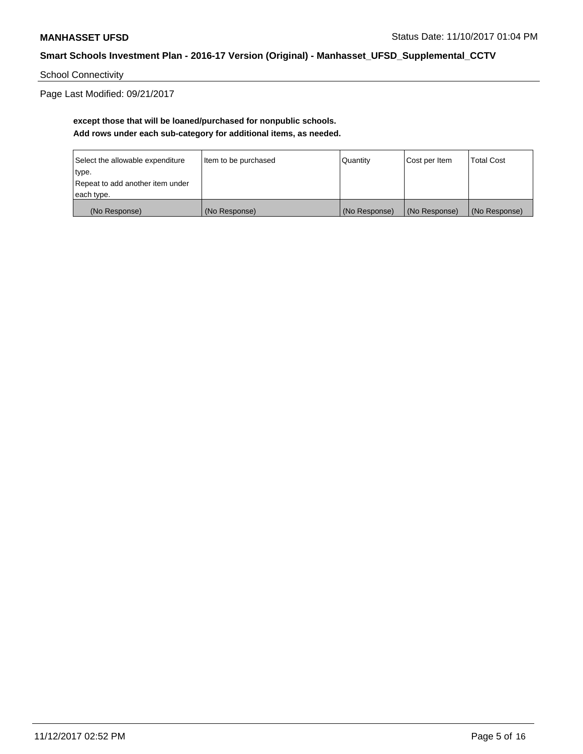School Connectivity

Page Last Modified: 09/21/2017

# **except those that will be loaned/purchased for nonpublic schools. Add rows under each sub-category for additional items, as needed.**

| Select the allowable expenditure | Item to be purchased | Quantity      | Cost per Item | <b>Total Cost</b> |
|----------------------------------|----------------------|---------------|---------------|-------------------|
| type.                            |                      |               |               |                   |
| Repeat to add another item under |                      |               |               |                   |
| each type.                       |                      |               |               |                   |
| (No Response)                    | (No Response)        | (No Response) | (No Response) | (No Response)     |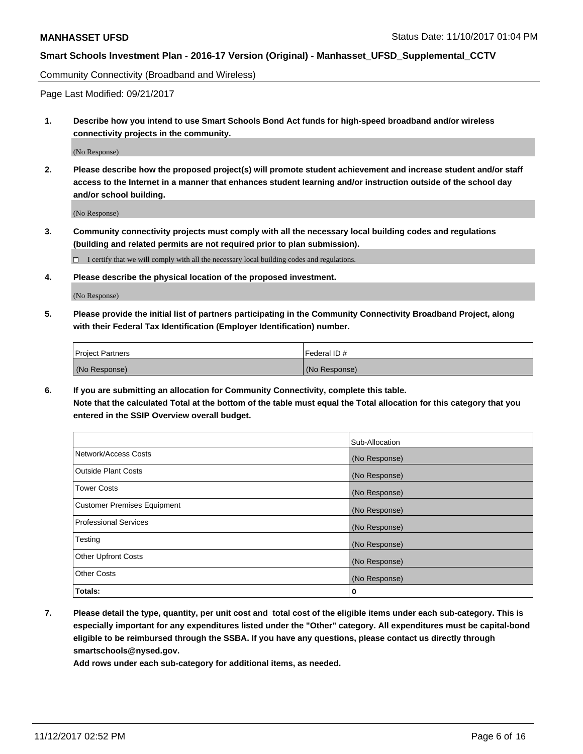Community Connectivity (Broadband and Wireless)

Page Last Modified: 09/21/2017

**1. Describe how you intend to use Smart Schools Bond Act funds for high-speed broadband and/or wireless connectivity projects in the community.**

(No Response)

**2. Please describe how the proposed project(s) will promote student achievement and increase student and/or staff access to the Internet in a manner that enhances student learning and/or instruction outside of the school day and/or school building.**

(No Response)

**3. Community connectivity projects must comply with all the necessary local building codes and regulations (building and related permits are not required prior to plan submission).**

 $\Box$  I certify that we will comply with all the necessary local building codes and regulations.

**4. Please describe the physical location of the proposed investment.**

(No Response)

**5. Please provide the initial list of partners participating in the Community Connectivity Broadband Project, along with their Federal Tax Identification (Employer Identification) number.**

| <b>Project Partners</b> | l Federal ID # |
|-------------------------|----------------|
| (No Response)           | (No Response)  |

**6. If you are submitting an allocation for Community Connectivity, complete this table. Note that the calculated Total at the bottom of the table must equal the Total allocation for this category that you entered in the SSIP Overview overall budget.**

|                                    | Sub-Allocation |
|------------------------------------|----------------|
| Network/Access Costs               | (No Response)  |
| <b>Outside Plant Costs</b>         | (No Response)  |
| <b>Tower Costs</b>                 | (No Response)  |
| <b>Customer Premises Equipment</b> | (No Response)  |
| <b>Professional Services</b>       | (No Response)  |
| Testing                            | (No Response)  |
| <b>Other Upfront Costs</b>         | (No Response)  |
| <b>Other Costs</b>                 | (No Response)  |
| Totals:                            | 0              |

**7. Please detail the type, quantity, per unit cost and total cost of the eligible items under each sub-category. This is especially important for any expenditures listed under the "Other" category. All expenditures must be capital-bond eligible to be reimbursed through the SSBA. If you have any questions, please contact us directly through smartschools@nysed.gov.**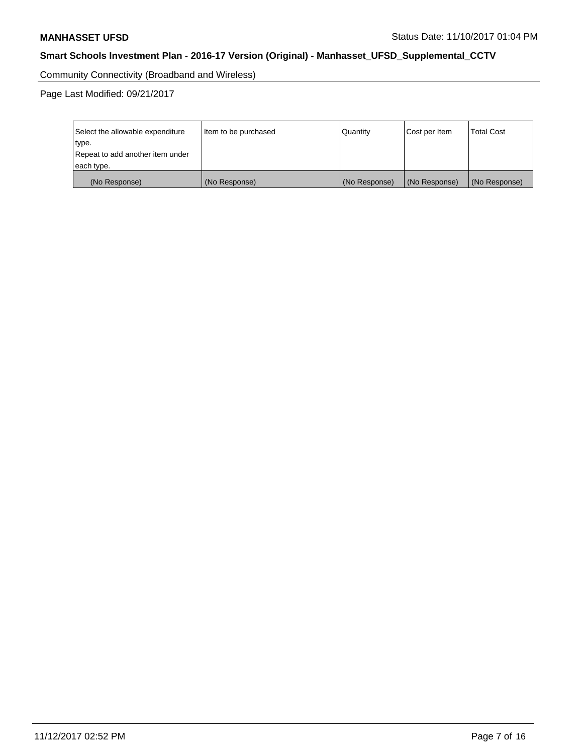Community Connectivity (Broadband and Wireless)

Page Last Modified: 09/21/2017

| Select the allowable expenditure<br>type.<br>Repeat to add another item under | Item to be purchased | Quantity      | Cost per Item | <b>Total Cost</b> |
|-------------------------------------------------------------------------------|----------------------|---------------|---------------|-------------------|
| each type.                                                                    |                      |               |               |                   |
| (No Response)                                                                 | (No Response)        | (No Response) | (No Response) | (No Response)     |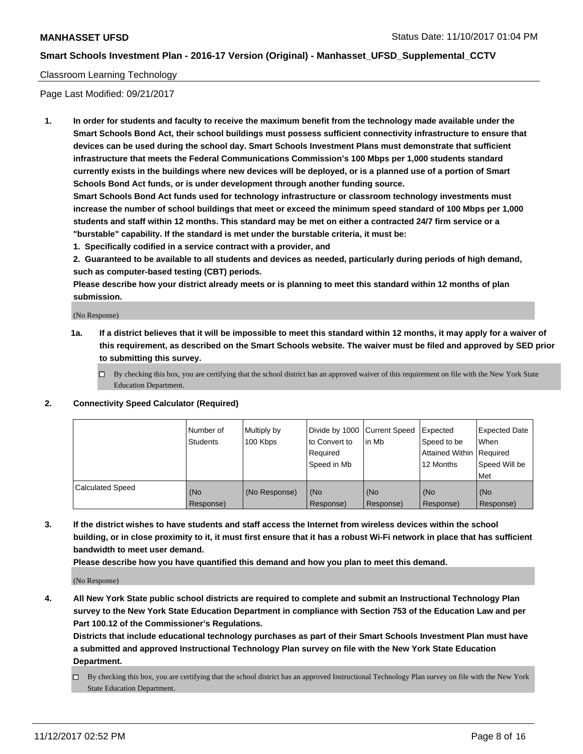### Classroom Learning Technology

Page Last Modified: 09/21/2017

**1. In order for students and faculty to receive the maximum benefit from the technology made available under the Smart Schools Bond Act, their school buildings must possess sufficient connectivity infrastructure to ensure that devices can be used during the school day. Smart Schools Investment Plans must demonstrate that sufficient infrastructure that meets the Federal Communications Commission's 100 Mbps per 1,000 students standard currently exists in the buildings where new devices will be deployed, or is a planned use of a portion of Smart Schools Bond Act funds, or is under development through another funding source.**

**Smart Schools Bond Act funds used for technology infrastructure or classroom technology investments must increase the number of school buildings that meet or exceed the minimum speed standard of 100 Mbps per 1,000 students and staff within 12 months. This standard may be met on either a contracted 24/7 firm service or a "burstable" capability. If the standard is met under the burstable criteria, it must be:**

**1. Specifically codified in a service contract with a provider, and**

**2. Guaranteed to be available to all students and devices as needed, particularly during periods of high demand, such as computer-based testing (CBT) periods.**

**Please describe how your district already meets or is planning to meet this standard within 12 months of plan submission.**

(No Response)

- **1a. If a district believes that it will be impossible to meet this standard within 12 months, it may apply for a waiver of this requirement, as described on the Smart Schools website. The waiver must be filed and approved by SED prior to submitting this survey.**
	- $\Box$  By checking this box, you are certifying that the school district has an approved waiver of this requirement on file with the New York State Education Department.
- **2. Connectivity Speed Calculator (Required)**

|                         | Number of<br><b>Students</b> | Multiply by<br>100 Kbps | Divide by 1000 Current Speed<br>to Convert to<br>Reauired<br>Speed in Mb | l in Mb          | Expected<br>Speed to be<br>Attained Within   Required<br>12 Months | Expected Date<br>When<br>Speed Will be<br>Met |
|-------------------------|------------------------------|-------------------------|--------------------------------------------------------------------------|------------------|--------------------------------------------------------------------|-----------------------------------------------|
| <b>Calculated Speed</b> | (No<br>Response)             | (No Response)           | (No<br>Response)                                                         | (No<br>Response) | (No<br>Response)                                                   | (No<br>Response)                              |

**3. If the district wishes to have students and staff access the Internet from wireless devices within the school building, or in close proximity to it, it must first ensure that it has a robust Wi-Fi network in place that has sufficient bandwidth to meet user demand.**

**Please describe how you have quantified this demand and how you plan to meet this demand.**

(No Response)

**4. All New York State public school districts are required to complete and submit an Instructional Technology Plan survey to the New York State Education Department in compliance with Section 753 of the Education Law and per Part 100.12 of the Commissioner's Regulations.**

**Districts that include educational technology purchases as part of their Smart Schools Investment Plan must have a submitted and approved Instructional Technology Plan survey on file with the New York State Education Department.**

By checking this box, you are certifying that the school district has an approved Instructional Technology Plan survey on file with the New York State Education Department.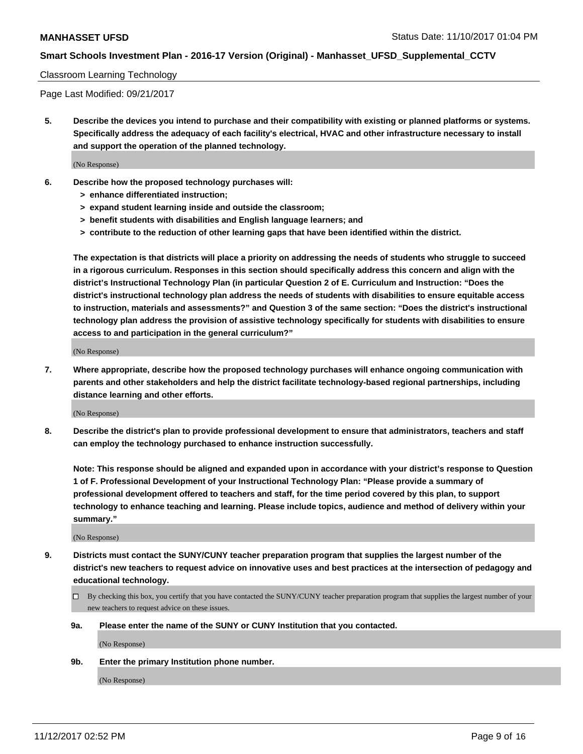#### Classroom Learning Technology

Page Last Modified: 09/21/2017

**5. Describe the devices you intend to purchase and their compatibility with existing or planned platforms or systems. Specifically address the adequacy of each facility's electrical, HVAC and other infrastructure necessary to install and support the operation of the planned technology.**

(No Response)

- **6. Describe how the proposed technology purchases will:**
	- **> enhance differentiated instruction;**
	- **> expand student learning inside and outside the classroom;**
	- **> benefit students with disabilities and English language learners; and**
	- **> contribute to the reduction of other learning gaps that have been identified within the district.**

**The expectation is that districts will place a priority on addressing the needs of students who struggle to succeed in a rigorous curriculum. Responses in this section should specifically address this concern and align with the district's Instructional Technology Plan (in particular Question 2 of E. Curriculum and Instruction: "Does the district's instructional technology plan address the needs of students with disabilities to ensure equitable access to instruction, materials and assessments?" and Question 3 of the same section: "Does the district's instructional technology plan address the provision of assistive technology specifically for students with disabilities to ensure access to and participation in the general curriculum?"**

(No Response)

**7. Where appropriate, describe how the proposed technology purchases will enhance ongoing communication with parents and other stakeholders and help the district facilitate technology-based regional partnerships, including distance learning and other efforts.**

(No Response)

**8. Describe the district's plan to provide professional development to ensure that administrators, teachers and staff can employ the technology purchased to enhance instruction successfully.**

**Note: This response should be aligned and expanded upon in accordance with your district's response to Question 1 of F. Professional Development of your Instructional Technology Plan: "Please provide a summary of professional development offered to teachers and staff, for the time period covered by this plan, to support technology to enhance teaching and learning. Please include topics, audience and method of delivery within your summary."**

(No Response)

- **9. Districts must contact the SUNY/CUNY teacher preparation program that supplies the largest number of the district's new teachers to request advice on innovative uses and best practices at the intersection of pedagogy and educational technology.**
	- By checking this box, you certify that you have contacted the SUNY/CUNY teacher preparation program that supplies the largest number of your new teachers to request advice on these issues.
	- **9a. Please enter the name of the SUNY or CUNY Institution that you contacted.**

(No Response)

**9b. Enter the primary Institution phone number.**

(No Response)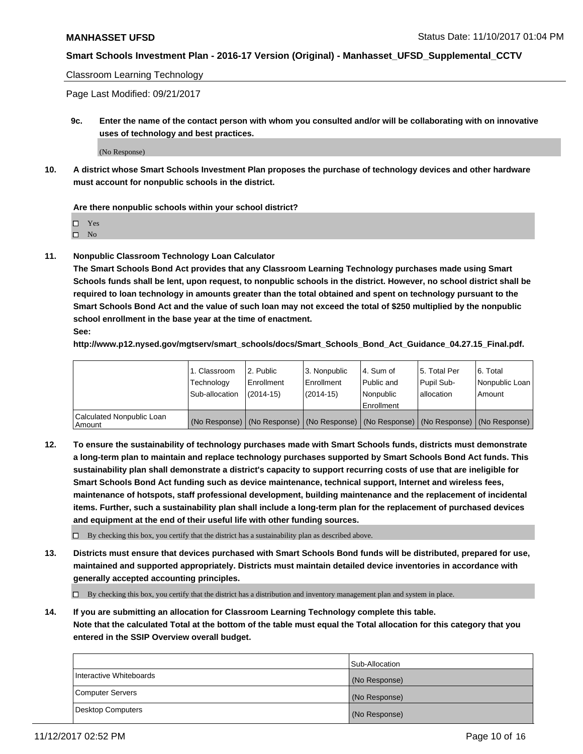Classroom Learning Technology

Page Last Modified: 09/21/2017

**9c. Enter the name of the contact person with whom you consulted and/or will be collaborating with on innovative uses of technology and best practices.**

(No Response)

**10. A district whose Smart Schools Investment Plan proposes the purchase of technology devices and other hardware must account for nonpublic schools in the district.**

**Are there nonpublic schools within your school district?**

Yes

 $\square$  No

**11. Nonpublic Classroom Technology Loan Calculator**

**The Smart Schools Bond Act provides that any Classroom Learning Technology purchases made using Smart Schools funds shall be lent, upon request, to nonpublic schools in the district. However, no school district shall be required to loan technology in amounts greater than the total obtained and spent on technology pursuant to the Smart Schools Bond Act and the value of such loan may not exceed the total of \$250 multiplied by the nonpublic school enrollment in the base year at the time of enactment.**

**See:**

**http://www.p12.nysed.gov/mgtserv/smart\_schools/docs/Smart\_Schools\_Bond\_Act\_Guidance\_04.27.15\_Final.pdf.**

|                                       | 1. Classroom   | l 2. Public   | 3. Nonpublic | l 4. Sum of | 15. Total Per                                                                                 | 6. Total       |
|---------------------------------------|----------------|---------------|--------------|-------------|-----------------------------------------------------------------------------------------------|----------------|
|                                       | Technology     | Enrollment    | Enrollment   | Public and  | Pupil Sub-                                                                                    | Nonpublic Loan |
|                                       | Sub-allocation | $(2014 - 15)$ | $(2014-15)$  | l Nonpublic | allocation                                                                                    | Amount         |
|                                       |                |               |              | Enrollment  |                                                                                               |                |
| Calculated Nonpublic Loan<br>  Amount |                |               |              |             | (No Response)   (No Response)   (No Response)   (No Response)   (No Response)   (No Response) |                |

**12. To ensure the sustainability of technology purchases made with Smart Schools funds, districts must demonstrate a long-term plan to maintain and replace technology purchases supported by Smart Schools Bond Act funds. This sustainability plan shall demonstrate a district's capacity to support recurring costs of use that are ineligible for Smart Schools Bond Act funding such as device maintenance, technical support, Internet and wireless fees, maintenance of hotspots, staff professional development, building maintenance and the replacement of incidental items. Further, such a sustainability plan shall include a long-term plan for the replacement of purchased devices and equipment at the end of their useful life with other funding sources.**

 $\Box$  By checking this box, you certify that the district has a sustainability plan as described above.

**13. Districts must ensure that devices purchased with Smart Schools Bond funds will be distributed, prepared for use, maintained and supported appropriately. Districts must maintain detailed device inventories in accordance with generally accepted accounting principles.**

By checking this box, you certify that the district has a distribution and inventory management plan and system in place.

**14. If you are submitting an allocation for Classroom Learning Technology complete this table. Note that the calculated Total at the bottom of the table must equal the Total allocation for this category that you entered in the SSIP Overview overall budget.**

|                         | Sub-Allocation |
|-------------------------|----------------|
| Interactive Whiteboards | (No Response)  |
| Computer Servers        | (No Response)  |
| Desktop Computers       | (No Response)  |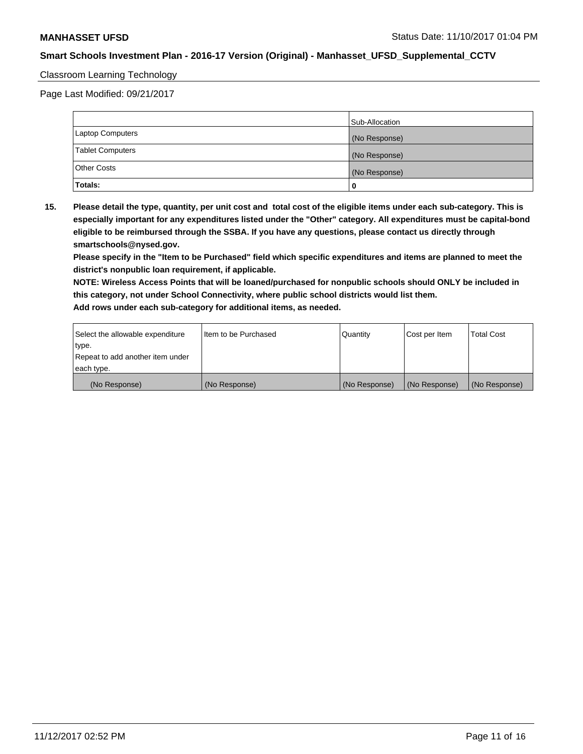### Classroom Learning Technology

Page Last Modified: 09/21/2017

|                         | Sub-Allocation |
|-------------------------|----------------|
| <b>Laptop Computers</b> | (No Response)  |
| <b>Tablet Computers</b> | (No Response)  |
| <b>Other Costs</b>      | (No Response)  |
| Totals:                 |                |

**15. Please detail the type, quantity, per unit cost and total cost of the eligible items under each sub-category. This is especially important for any expenditures listed under the "Other" category. All expenditures must be capital-bond eligible to be reimbursed through the SSBA. If you have any questions, please contact us directly through smartschools@nysed.gov.**

**Please specify in the "Item to be Purchased" field which specific expenditures and items are planned to meet the district's nonpublic loan requirement, if applicable.**

**NOTE: Wireless Access Points that will be loaned/purchased for nonpublic schools should ONLY be included in this category, not under School Connectivity, where public school districts would list them. Add rows under each sub-category for additional items, as needed.**

| Select the allowable expenditure | I Item to be Purchased | Quantity      | Cost per Item   | <b>Total Cost</b> |
|----------------------------------|------------------------|---------------|-----------------|-------------------|
| type.                            |                        |               |                 |                   |
| Repeat to add another item under |                        |               |                 |                   |
| each type.                       |                        |               |                 |                   |
| (No Response)                    | (No Response)          | (No Response) | l (No Response) | (No Response)     |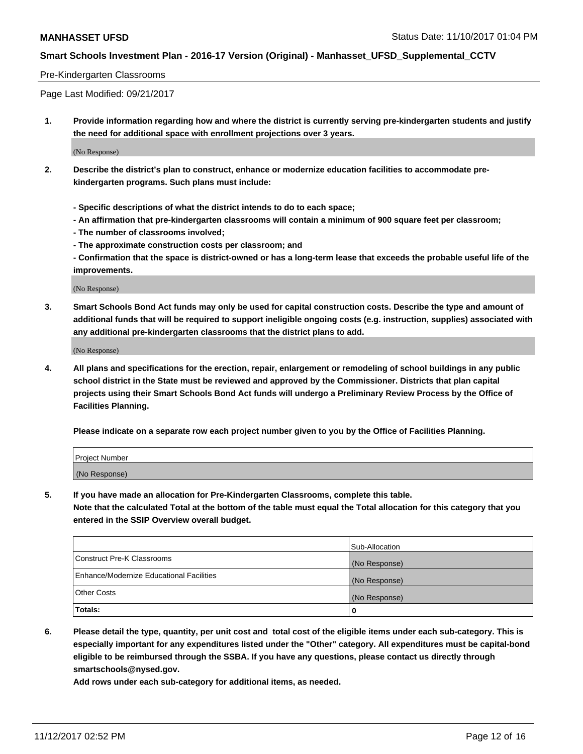#### Pre-Kindergarten Classrooms

Page Last Modified: 09/21/2017

**1. Provide information regarding how and where the district is currently serving pre-kindergarten students and justify the need for additional space with enrollment projections over 3 years.**

(No Response)

- **2. Describe the district's plan to construct, enhance or modernize education facilities to accommodate prekindergarten programs. Such plans must include:**
	- **Specific descriptions of what the district intends to do to each space;**
	- **An affirmation that pre-kindergarten classrooms will contain a minimum of 900 square feet per classroom;**
	- **The number of classrooms involved;**
	- **The approximate construction costs per classroom; and**

**- Confirmation that the space is district-owned or has a long-term lease that exceeds the probable useful life of the improvements.**

(No Response)

**3. Smart Schools Bond Act funds may only be used for capital construction costs. Describe the type and amount of additional funds that will be required to support ineligible ongoing costs (e.g. instruction, supplies) associated with any additional pre-kindergarten classrooms that the district plans to add.**

(No Response)

**4. All plans and specifications for the erection, repair, enlargement or remodeling of school buildings in any public school district in the State must be reviewed and approved by the Commissioner. Districts that plan capital projects using their Smart Schools Bond Act funds will undergo a Preliminary Review Process by the Office of Facilities Planning.**

**Please indicate on a separate row each project number given to you by the Office of Facilities Planning.**

| Project Number |  |
|----------------|--|
| (No Response)  |  |

**5. If you have made an allocation for Pre-Kindergarten Classrooms, complete this table.**

**Note that the calculated Total at the bottom of the table must equal the Total allocation for this category that you entered in the SSIP Overview overall budget.**

|                                          | Sub-Allocation |
|------------------------------------------|----------------|
| Construct Pre-K Classrooms               | (No Response)  |
| Enhance/Modernize Educational Facilities | (No Response)  |
| <b>Other Costs</b>                       | (No Response)  |
| <b>Totals:</b>                           | 0              |

**6. Please detail the type, quantity, per unit cost and total cost of the eligible items under each sub-category. This is especially important for any expenditures listed under the "Other" category. All expenditures must be capital-bond eligible to be reimbursed through the SSBA. If you have any questions, please contact us directly through smartschools@nysed.gov.**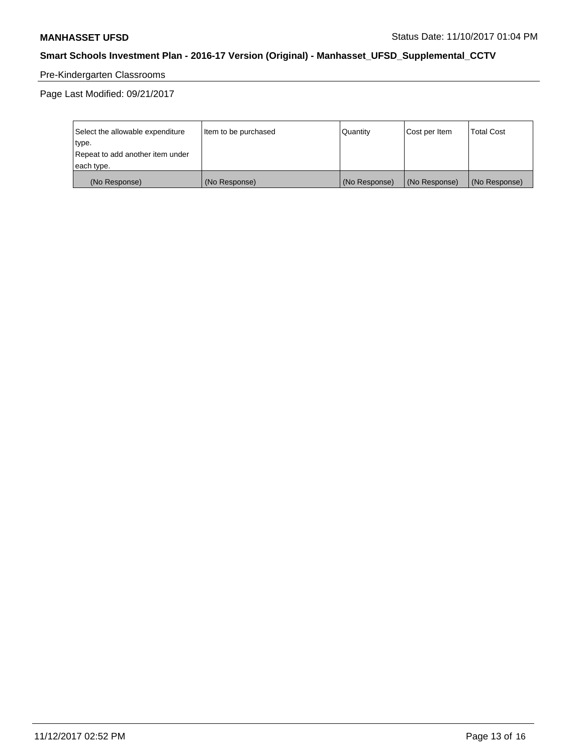# Pre-Kindergarten Classrooms

Page Last Modified: 09/21/2017

| Select the allowable expenditure | Item to be purchased | Quantity      | Cost per Item | <b>Total Cost</b> |
|----------------------------------|----------------------|---------------|---------------|-------------------|
| type.                            |                      |               |               |                   |
| Repeat to add another item under |                      |               |               |                   |
| each type.                       |                      |               |               |                   |
| (No Response)                    | (No Response)        | (No Response) | (No Response) | (No Response)     |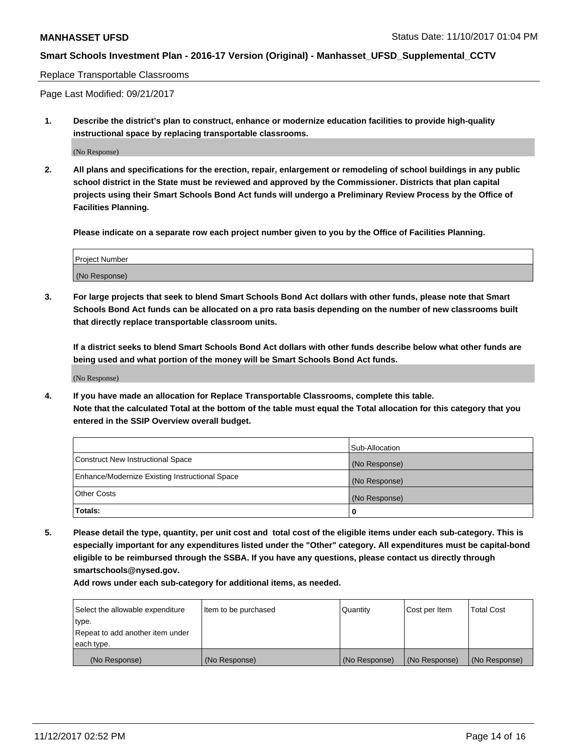#### Replace Transportable Classrooms

Page Last Modified: 09/21/2017

**1. Describe the district's plan to construct, enhance or modernize education facilities to provide high-quality instructional space by replacing transportable classrooms.**

(No Response)

**2. All plans and specifications for the erection, repair, enlargement or remodeling of school buildings in any public school district in the State must be reviewed and approved by the Commissioner. Districts that plan capital projects using their Smart Schools Bond Act funds will undergo a Preliminary Review Process by the Office of Facilities Planning.**

**Please indicate on a separate row each project number given to you by the Office of Facilities Planning.**

| <b>Project Number</b> |  |
|-----------------------|--|
| (No Response)         |  |

**3. For large projects that seek to blend Smart Schools Bond Act dollars with other funds, please note that Smart Schools Bond Act funds can be allocated on a pro rata basis depending on the number of new classrooms built that directly replace transportable classroom units.**

**If a district seeks to blend Smart Schools Bond Act dollars with other funds describe below what other funds are being used and what portion of the money will be Smart Schools Bond Act funds.**

(No Response)

**4. If you have made an allocation for Replace Transportable Classrooms, complete this table. Note that the calculated Total at the bottom of the table must equal the Total allocation for this category that you entered in the SSIP Overview overall budget.**

|                                                | Sub-Allocation |
|------------------------------------------------|----------------|
| Construct New Instructional Space              | (No Response)  |
| Enhance/Modernize Existing Instructional Space | (No Response)  |
| <b>Other Costs</b>                             | (No Response)  |
| Totals:                                        | 0              |

**5. Please detail the type, quantity, per unit cost and total cost of the eligible items under each sub-category. This is especially important for any expenditures listed under the "Other" category. All expenditures must be capital-bond eligible to be reimbursed through the SSBA. If you have any questions, please contact us directly through smartschools@nysed.gov.**

| Select the allowable expenditure | Item to be purchased | Quantity      | Cost per Item | <b>Total Cost</b> |
|----------------------------------|----------------------|---------------|---------------|-------------------|
| type.                            |                      |               |               |                   |
| Repeat to add another item under |                      |               |               |                   |
| each type.                       |                      |               |               |                   |
| (No Response)                    | (No Response)        | (No Response) | (No Response) | (No Response)     |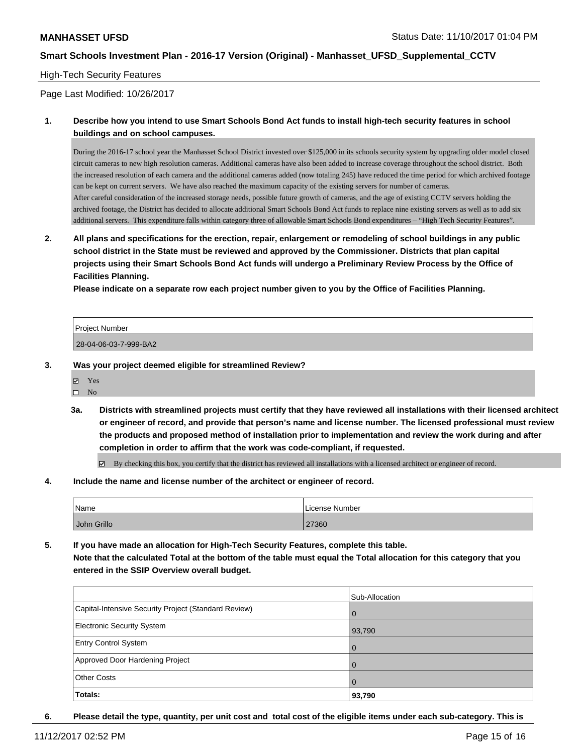#### High-Tech Security Features

Page Last Modified: 10/26/2017

### **1. Describe how you intend to use Smart Schools Bond Act funds to install high-tech security features in school buildings and on school campuses.**

During the 2016-17 school year the Manhasset School District invested over \$125,000 in its schools security system by upgrading older model closed circuit cameras to new high resolution cameras. Additional cameras have also been added to increase coverage throughout the school district. Both the increased resolution of each camera and the additional cameras added (now totaling 245) have reduced the time period for which archived footage can be kept on current servers. We have also reached the maximum capacity of the existing servers for number of cameras. After careful consideration of the increased storage needs, possible future growth of cameras, and the age of existing CCTV servers holding the archived footage, the District has decided to allocate additional Smart Schools Bond Act funds to replace nine existing servers as well as to add six additional servers. This expenditure falls within category three of allowable Smart Schools Bond expenditures – "High Tech Security Features".

**2. All plans and specifications for the erection, repair, enlargement or remodeling of school buildings in any public school district in the State must be reviewed and approved by the Commissioner. Districts that plan capital projects using their Smart Schools Bond Act funds will undergo a Preliminary Review Process by the Office of Facilities Planning.** 

**Please indicate on a separate row each project number given to you by the Office of Facilities Planning.**

| <b>Project Number</b> |  |
|-----------------------|--|
| 28-04-06-03-7-999-BA2 |  |

- **3. Was your project deemed eligible for streamlined Review?**
	- Yes
	- $\square$  No
	- **3a. Districts with streamlined projects must certify that they have reviewed all installations with their licensed architect or engineer of record, and provide that person's name and license number. The licensed professional must review the products and proposed method of installation prior to implementation and review the work during and after completion in order to affirm that the work was code-compliant, if requested.**

By checking this box, you certify that the district has reviewed all installations with a licensed architect or engineer of record.

**4. Include the name and license number of the architect or engineer of record.**

| Name        | License Number |
|-------------|----------------|
| John Grillo | 27360          |

**5. If you have made an allocation for High-Tech Security Features, complete this table. Note that the calculated Total at the bottom of the table must equal the Total allocation for this category that you entered in the SSIP Overview overall budget.**

|                                                      | Sub-Allocation |
|------------------------------------------------------|----------------|
| Capital-Intensive Security Project (Standard Review) | $\overline{0}$ |
| Electronic Security System                           | 93,790         |
| <b>Entry Control System</b>                          | $\overline{0}$ |
| Approved Door Hardening Project                      | $\overline{0}$ |
| <b>Other Costs</b>                                   | $\overline{0}$ |
| <b>Totals:</b>                                       | 93,790         |

**6. Please detail the type, quantity, per unit cost and total cost of the eligible items under each sub-category. This is**